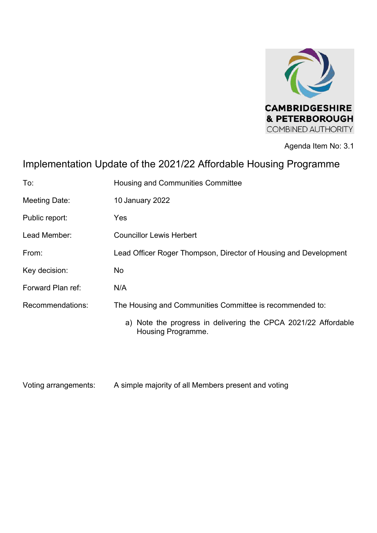

Agenda Item No: 3.1

# Implementation Update of the 2021/22 Affordable Housing Programme

| To:               | Housing and Communities Committee                                                    |
|-------------------|--------------------------------------------------------------------------------------|
| Meeting Date:     | 10 January 2022                                                                      |
| Public report:    | Yes                                                                                  |
| Lead Member:      | <b>Councillor Lewis Herbert</b>                                                      |
| From:             | Lead Officer Roger Thompson, Director of Housing and Development                     |
| Key decision:     | No                                                                                   |
| Forward Plan ref: | N/A                                                                                  |
| Recommendations:  | The Housing and Communities Committee is recommended to:                             |
|                   | a) Note the progress in delivering the CPCA 2021/22 Affordable<br>Housing Programme. |

Voting arrangements: A simple majority of all Members present and voting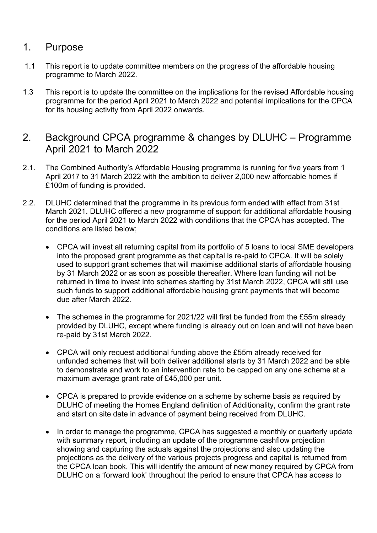# 1. Purpose

- 1.1 This report is to update committee members on the progress of the affordable housing programme to March 2022.
- 1.3 This report is to update the committee on the implications for the revised Affordable housing programme for the period April 2021 to March 2022 and potential implications for the CPCA for its housing activity from April 2022 onwards.
- 2. Background CPCA programme & changes by DLUHC Programme April 2021 to March 2022
- 2.1. The Combined Authority's Affordable Housing programme is running for five years from 1 April 2017 to 31 March 2022 with the ambition to deliver 2,000 new affordable homes if £100m of funding is provided.
- 2.2. DLUHC determined that the programme in its previous form ended with effect from 31st March 2021. DLUHC offered a new programme of support for additional affordable housing for the period April 2021 to March 2022 with conditions that the CPCA has accepted. The conditions are listed below;
	- CPCA will invest all returning capital from its portfolio of 5 loans to local SME developers into the proposed grant programme as that capital is re-paid to CPCA. It will be solely used to support grant schemes that will maximise additional starts of affordable housing by 31 March 2022 or as soon as possible thereafter. Where loan funding will not be returned in time to invest into schemes starting by 31st March 2022, CPCA will still use such funds to support additional affordable housing grant payments that will become due after March 2022.
	- The schemes in the programme for 2021/22 will first be funded from the £55m already provided by DLUHC, except where funding is already out on loan and will not have been re-paid by 31st March 2022.
	- CPCA will only request additional funding above the £55m already received for unfunded schemes that will both deliver additional starts by 31 March 2022 and be able to demonstrate and work to an intervention rate to be capped on any one scheme at a maximum average grant rate of £45,000 per unit.
	- CPCA is prepared to provide evidence on a scheme by scheme basis as required by DLUHC of meeting the Homes England definition of Additionality, confirm the grant rate and start on site date in advance of payment being received from DLUHC.
	- In order to manage the programme, CPCA has suggested a monthly or quarterly update with summary report, including an update of the programme cashflow projection showing and capturing the actuals against the projections and also updating the projections as the delivery of the various projects progress and capital is returned from the CPCA loan book. This will identify the amount of new money required by CPCA from DLUHC on a 'forward look' throughout the period to ensure that CPCA has access to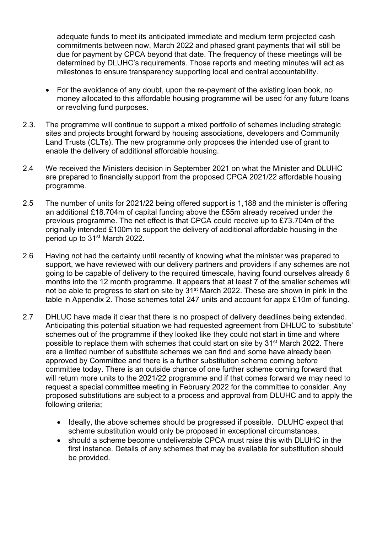adequate funds to meet its anticipated immediate and medium term projected cash commitments between now, March 2022 and phased grant payments that will still be due for payment by CPCA beyond that date. The frequency of these meetings will be determined by DLUHC's requirements. Those reports and meeting minutes will act as milestones to ensure transparency supporting local and central accountability.

- For the avoidance of any doubt, upon the re-payment of the existing loan book, no money allocated to this affordable housing programme will be used for any future loans or revolving fund purposes.
- 2.3. The programme will continue to support a mixed portfolio of schemes including strategic sites and projects brought forward by housing associations, developers and Community Land Trusts (CLTs). The new programme only proposes the intended use of grant to enable the delivery of additional affordable housing.
- 2.4 We received the Ministers decision in September 2021 on what the Minister and DLUHC are prepared to financially support from the proposed CPCA 2021/22 affordable housing programme.
- 2.5 The number of units for 2021/22 being offered support is 1,188 and the minister is offering an additional £18.704m of capital funding above the £55m already received under the previous programme. The net effect is that CPCA could receive up to £73.704m of the originally intended £100m to support the delivery of additional affordable housing in the period up to 31<sup>st</sup> March 2022.
- 2.6 Having not had the certainty until recently of knowing what the minister was prepared to support, we have reviewed with our delivery partners and providers if any schemes are not going to be capable of delivery to the required timescale, having found ourselves already 6 months into the 12 month programme. It appears that at least 7 of the smaller schemes will not be able to progress to start on site by 31<sup>st</sup> March 2022. These are shown in pink in the table in Appendix 2. Those schemes total 247 units and account for appx £10m of funding.
- 2.7 DHLUC have made it clear that there is no prospect of delivery deadlines being extended. Anticipating this potential situation we had requested agreement from DHLUC to 'substitute' schemes out of the programme if they looked like they could not start in time and where possible to replace them with schemes that could start on site by 31st March 2022. There are a limited number of substitute schemes we can find and some have already been approved by Committee and there is a further substitution scheme coming before committee today. There is an outside chance of one further scheme coming forward that will return more units to the 2021/22 programme and if that comes forward we may need to request a special committee meeting in February 2022 for the committee to consider. Any proposed substitutions are subject to a process and approval from DLUHC and to apply the following criteria;
	- Ideally, the above schemes should be progressed if possible. DLUHC expect that scheme substitution would only be proposed in exceptional circumstances.
	- should a scheme become undeliverable CPCA must raise this with DLUHC in the first instance. Details of any schemes that may be available for substitution should be provided.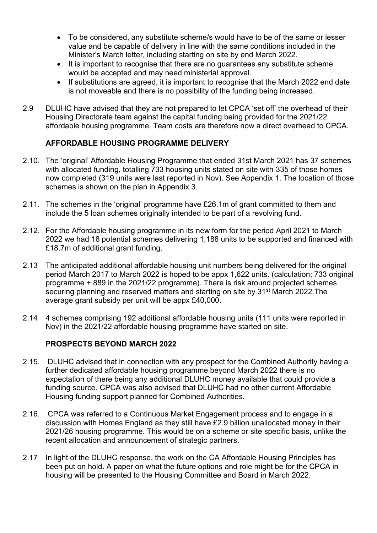- To be considered, any substitute scheme/s would have to be of the same or lesser value and be capable of delivery in line with the same conditions included in the Minister's March letter, including starting on site by end March 2022.
- It is important to recognise that there are no guarantees any substitute scheme would be accepted and may need ministerial approval.
- If substitutions are agreed, it is important to recognise that the March 2022 end date is not moveable and there is no possibility of the funding being increased.
- 2.9 DLUHC have advised that they are not prepared to let CPCA 'set off' the overhead of their Housing Directorate team against the capital funding being provided for the 2021/22 affordable housing programme. Team costs are therefore now a direct overhead to CPCA.

#### **AFFORDABLE HOUSING PROGRAMME DELIVERY**

- 2.10. The 'original' Affordable Housing Programme that ended 31st March 2021 has 37 schemes with allocated funding, totalling 733 housing units stated on site with 335 of those homes now completed (319 units were last reported in Nov). See Appendix 1. The location of those schemes is shown on the plan in Appendix 3.
- 2.11. The schemes in the 'original' programme have £26.1m of grant committed to them and include the 5 loan schemes originally intended to be part of a revolving fund.
- 2.12. For the Affordable housing programme in its new form for the period April 2021 to March 2022 we had 18 potential schemes delivering 1,188 units to be supported and financed with £18.7m of additional grant funding.
- 2.13 The anticipated additional affordable housing unit numbers being delivered for the original period March 2017 to March 2022 is hoped to be appx 1,622 units. (calculation; 733 original programme + 889 in the 2021/22 programme). There is risk around projected schemes securing planning and reserved matters and starting on site by 31<sup>st</sup> March 2022. The average grant subsidy per unit will be appx £40,000.
- 2.14 4 schemes comprising 192 additional affordable housing units (111 units were reported in Nov) in the 2021/22 affordable housing programme have started on site.

#### **PROSPECTS BEYOND MARCH 2022**

- 2.15. DLUHC advised that in connection with any prospect for the Combined Authority having a further dedicated affordable housing programme beyond March 2022 there is no expectation of there being any additional DLUHC money available that could provide a funding source. CPCA was also advised that DLUHC had no other current Affordable Housing funding support planned for Combined Authorities.
- 2.16. CPCA was referred to a Continuous Market Engagement process and to engage in a discussion with Homes England as they still have £2.9 billion unallocated money in their 2021/26 housing programme. This would be on a scheme or site specific basis, unlike the recent allocation and announcement of strategic partners.
- 2.17 In light of the DLUHC response, the work on the CA Affordable Housing Principles has been put on hold. A paper on what the future options and role might be for the CPCA in housing will be presented to the Housing Committee and Board in March 2022.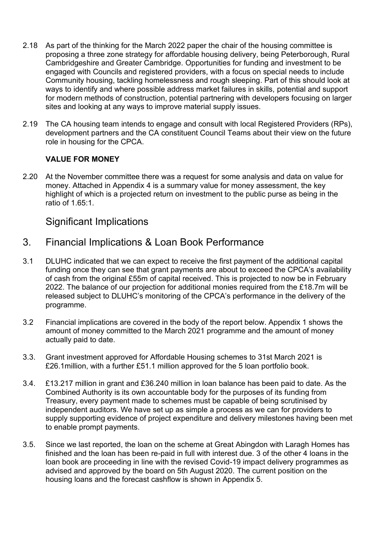- 2.18 As part of the thinking for the March 2022 paper the chair of the housing committee is proposing a three zone strategy for affordable housing delivery, being Peterborough, Rural Cambridgeshire and Greater Cambridge. Opportunities for funding and investment to be engaged with Councils and registered providers, with a focus on special needs to include Community housing, tackling homelessness and rough sleeping. Part of this should look at ways to identify and where possible address market failures in skills, potential and support for modern methods of construction, potential partnering with developers focusing on larger sites and looking at any ways to improve material supply issues.
- 2.19 The CA housing team intends to engage and consult with local Registered Providers (RPs), development partners and the CA constituent Council Teams about their view on the future role in housing for the CPCA.

#### **VALUE FOR MONEY**

2.20 At the November committee there was a request for some analysis and data on value for money. Attached in Appendix 4 is a summary value for money assessment, the key highlight of which is a projected return on investment to the public purse as being in the ratio of 1.65:1.

## Significant Implications

# 3. Financial Implications & Loan Book Performance

- 3.1 DLUHC indicated that we can expect to receive the first payment of the additional capital funding once they can see that grant payments are about to exceed the CPCA's availability of cash from the original £55m of capital received. This is projected to now be in February 2022. The balance of our projection for additional monies required from the £18.7m will be released subject to DLUHC's monitoring of the CPCA's performance in the delivery of the programme.
- 3.2 Financial implications are covered in the body of the report below. Appendix 1 shows the amount of money committed to the March 2021 programme and the amount of money actually paid to date.
- 3.3. Grant investment approved for Affordable Housing schemes to 31st March 2021 is £26.1million, with a further £51.1 million approved for the 5 loan portfolio book.
- 3.4. £13.217 million in grant and £36.240 million in loan balance has been paid to date. As the Combined Authority is its own accountable body for the purposes of its funding from Treasury, every payment made to schemes must be capable of being scrutinised by independent auditors. We have set up as simple a process as we can for providers to supply supporting evidence of project expenditure and delivery milestones having been met to enable prompt payments.
- 3.5. Since we last reported, the loan on the scheme at Great Abingdon with Laragh Homes has finished and the loan has been re-paid in full with interest due. 3 of the other 4 loans in the loan book are proceeding in line with the revised Covid-19 impact delivery programmes as advised and approved by the board on 5th August 2020. The current position on the housing loans and the forecast cashflow is shown in Appendix 5.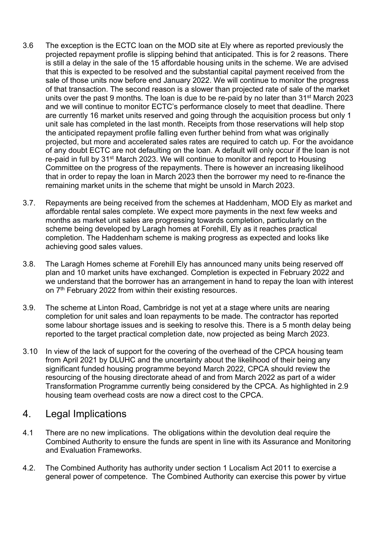- 3.6 The exception is the ECTC loan on the MOD site at Ely where as reported previously the projected repayment profile is slipping behind that anticipated. This is for 2 reasons. There is still a delay in the sale of the 15 affordable housing units in the scheme. We are advised that this is expected to be resolved and the substantial capital payment received from the sale of those units now before end January 2022. We will continue to monitor the progress of that transaction. The second reason is a slower than projected rate of sale of the market units over the past 9 months. The loan is due to be re-paid by no later than 31<sup>st</sup> March 2023 and we will continue to monitor ECTC's performance closely to meet that deadline. There are currently 16 market units reserved and going through the acquisition process but only 1 unit sale has completed in the last month. Receipts from those reservations will help stop the anticipated repayment profile falling even further behind from what was originally projected, but more and accelerated sales rates are required to catch up. For the avoidance of any doubt ECTC are not defaulting on the loan. A default will only occur if the loan is not re-paid in full by 31st March 2023. We will continue to monitor and report to Housing Committee on the progress of the repayments. There is however an increasing likelihood that in order to repay the loan in March 2023 then the borrower my need to re-finance the remaining market units in the scheme that might be unsold in March 2023.
- 3.7. Repayments are being received from the schemes at Haddenham, MOD Ely as market and affordable rental sales complete. We expect more payments in the next few weeks and months as market unit sales are progressing towards completion, particularly on the scheme being developed by Laragh homes at Forehill, Ely as it reaches practical completion. The Haddenham scheme is making progress as expected and looks like achieving good sales values.
- 3.8. The Laragh Homes scheme at Forehill Ely has announced many units being reserved off plan and 10 market units have exchanged. Completion is expected in February 2022 and we understand that the borrower has an arrangement in hand to repay the loan with interest on 7<sup>th</sup> February 2022 from within their existing resources.
- 3.9. The scheme at Linton Road, Cambridge is not yet at a stage where units are nearing completion for unit sales and loan repayments to be made. The contractor has reported some labour shortage issues and is seeking to resolve this. There is a 5 month delay being reported to the target practical completion date, now projected as being March 2023.
- 3.10 In view of the lack of support for the covering of the overhead of the CPCA housing team from April 2021 by DLUHC and the uncertainty about the likelihood of their being any significant funded housing programme beyond March 2022, CPCA should review the resourcing of the housing directorate ahead of and from March 2022 as part of a wider Transformation Programme currently being considered by the CPCA. As highlighted in 2.9 housing team overhead costs are now a direct cost to the CPCA.

## 4. Legal Implications

- 4.1 There are no new implications. The obligations within the devolution deal require the Combined Authority to ensure the funds are spent in line with its Assurance and Monitoring and Evaluation Frameworks.
- 4.2. The Combined Authority has authority under section 1 Localism Act 2011 to exercise a general power of competence. The Combined Authority can exercise this power by virtue